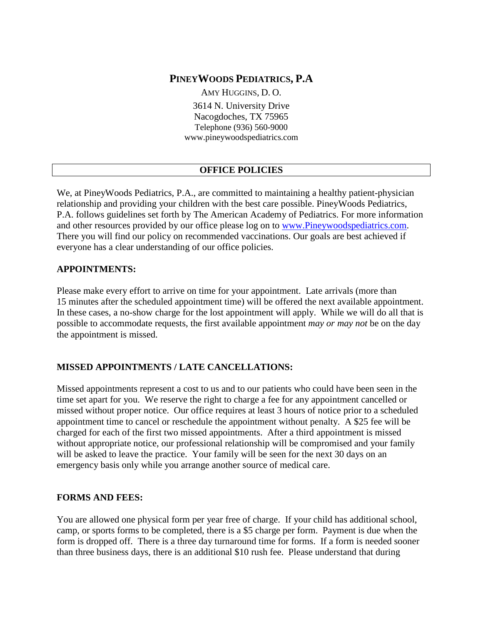### **PINEYWOODS PEDIATRICS, P.A**

AMY HUGGINS, D. O. 3614 N. University Drive Nacogdoches, TX 75965 Telephone (936) 560-9000 www.pineywoodspediatrics.com

# **OFFICE POLICIES**

We, at PineyWoods Pediatrics, P.A., are committed to maintaining a healthy patient-physician relationship and providing your children with the best care possible. PineyWoods Pediatrics, P.A. follows guidelines set forth by The American Academy of Pediatrics. For more information and other resources provided by our office please log on to [www.Pineywoodspediatrics.com.](http://www.pineywoodspediatrics.com/) There you will find our policy on recommended vaccinations. Our goals are best achieved if everyone has a clear understanding of our office policies.

### **APPOINTMENTS:**

Please make every effort to arrive on time for your appointment. Late arrivals (more than 15 minutes after the scheduled appointment time) will be offered the next available appointment. In these cases, a no-show charge for the lost appointment will apply. While we will do all that is possible to accommodate requests, the first available appointment *may or may not* be on the day the appointment is missed.

### **MISSED APPOINTMENTS / LATE CANCELLATIONS:**

Missed appointments represent a cost to us and to our patients who could have been seen in the time set apart for you. We reserve the right to charge a fee for any appointment cancelled or missed without proper notice. Our office requires at least 3 hours of notice prior to a scheduled appointment time to cancel or reschedule the appointment without penalty. A \$25 fee will be charged for each of the first two missed appointments. After a third appointment is missed without appropriate notice, our professional relationship will be compromised and your family will be asked to leave the practice. Your family will be seen for the next 30 days on an emergency basis only while you arrange another source of medical care.

### **FORMS AND FEES:**

You are allowed one physical form per year free of charge. If your child has additional school, camp, or sports forms to be completed, there is a \$5 charge per form. Payment is due when the form is dropped off. There is a three day turnaround time for forms. If a form is needed sooner than three business days, there is an additional \$10 rush fee. Please understand that during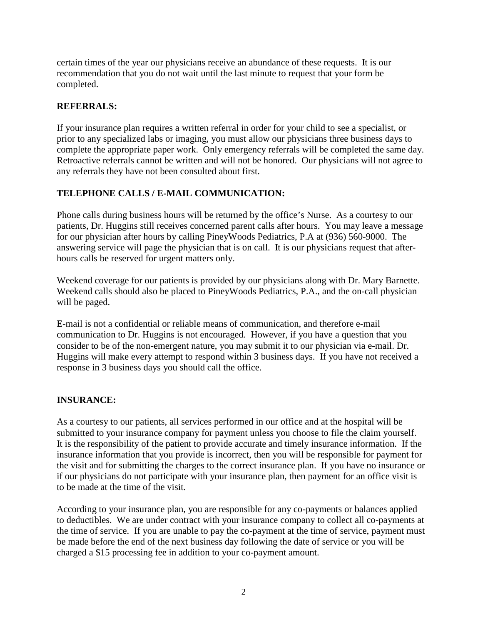certain times of the year our physicians receive an abundance of these requests. It is our recommendation that you do not wait until the last minute to request that your form be completed.

### **REFERRALS:**

If your insurance plan requires a written referral in order for your child to see a specialist, or prior to any specialized labs or imaging, you must allow our physicians three business days to complete the appropriate paper work. Only emergency referrals will be completed the same day. Retroactive referrals cannot be written and will not be honored. Our physicians will not agree to any referrals they have not been consulted about first.

# **TELEPHONE CALLS / E-MAIL COMMUNICATION:**

Phone calls during business hours will be returned by the office's Nurse. As a courtesy to our patients, Dr. Huggins still receives concerned parent calls after hours. You may leave a message for our physician after hours by calling PineyWoods Pediatrics, P.A at (936) 560-9000. The answering service will page the physician that is on call. It is our physicians request that afterhours calls be reserved for urgent matters only.

Weekend coverage for our patients is provided by our physicians along with Dr. Mary Barnette. Weekend calls should also be placed to PineyWoods Pediatrics, P.A., and the on-call physician will be paged.

E-mail is not a confidential or reliable means of communication, and therefore e-mail communication to Dr. Huggins is not encouraged. However, if you have a question that you consider to be of the non-emergent nature, you may submit it to our physician via e-mail. Dr. Huggins will make every attempt to respond within 3 business days. If you have not received a response in 3 business days you should call the office.

### **INSURANCE:**

As a courtesy to our patients, all services performed in our office and at the hospital will be submitted to your insurance company for payment unless you choose to file the claim yourself. It is the responsibility of the patient to provide accurate and timely insurance information. If the insurance information that you provide is incorrect, then you will be responsible for payment for the visit and for submitting the charges to the correct insurance plan. If you have no insurance or if our physicians do not participate with your insurance plan, then payment for an office visit is to be made at the time of the visit.

According to your insurance plan, you are responsible for any co-payments or balances applied to deductibles. We are under contract with your insurance company to collect all co-payments at the time of service. If you are unable to pay the co-payment at the time of service, payment must be made before the end of the next business day following the date of service or you will be charged a \$15 processing fee in addition to your co-payment amount.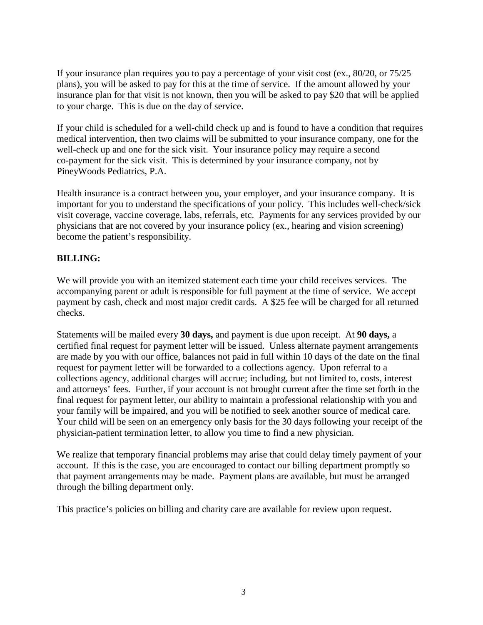If your insurance plan requires you to pay a percentage of your visit cost (ex., 80/20, or 75/25 plans), you will be asked to pay for this at the time of service. If the amount allowed by your insurance plan for that visit is not known, then you will be asked to pay \$20 that will be applied to your charge. This is due on the day of service.

If your child is scheduled for a well-child check up and is found to have a condition that requires medical intervention, then two claims will be submitted to your insurance company, one for the well-check up and one for the sick visit. Your insurance policy may require a second co-payment for the sick visit. This is determined by your insurance company, not by PineyWoods Pediatrics, P.A.

Health insurance is a contract between you, your employer, and your insurance company. It is important for you to understand the specifications of your policy. This includes well-check/sick visit coverage, vaccine coverage, labs, referrals, etc. Payments for any services provided by our physicians that are not covered by your insurance policy (ex., hearing and vision screening) become the patient's responsibility.

# **BILLING:**

We will provide you with an itemized statement each time your child receives services. The accompanying parent or adult is responsible for full payment at the time of service. We accept payment by cash, check and most major credit cards. A \$25 fee will be charged for all returned checks.

Statements will be mailed every **30 days,** and payment is due upon receipt. At **90 days,** a certified final request for payment letter will be issued. Unless alternate payment arrangements are made by you with our office, balances not paid in full within 10 days of the date on the final request for payment letter will be forwarded to a collections agency. Upon referral to a collections agency, additional charges will accrue; including, but not limited to, costs, interest and attorneys' fees. Further, if your account is not brought current after the time set forth in the final request for payment letter, our ability to maintain a professional relationship with you and your family will be impaired, and you will be notified to seek another source of medical care. Your child will be seen on an emergency only basis for the 30 days following your receipt of the physician-patient termination letter, to allow you time to find a new physician.

We realize that temporary financial problems may arise that could delay timely payment of your account. If this is the case, you are encouraged to contact our billing department promptly so that payment arrangements may be made. Payment plans are available, but must be arranged through the billing department only.

This practice's policies on billing and charity care are available for review upon request.